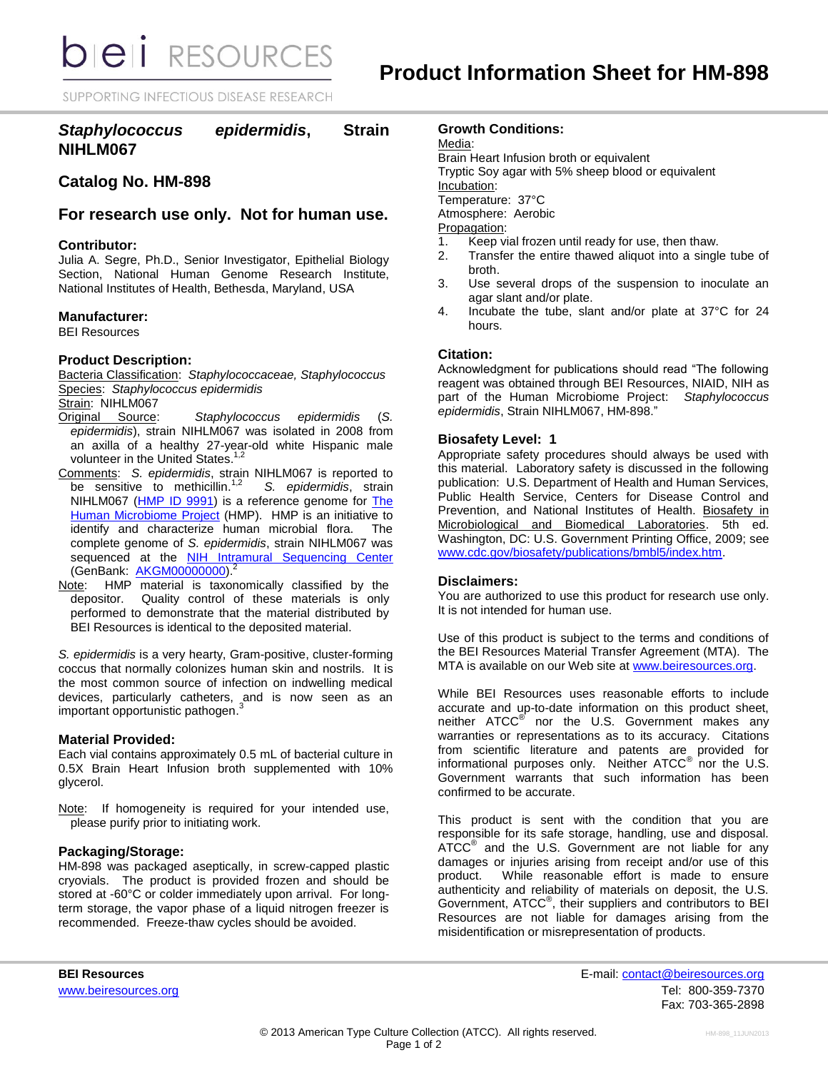**bieli** RESOURCES

SUPPORTING INFECTIOUS DISEASE RESEARCH

# *Staphylococcus epidermidis***, Strain NIHLM067**

## **Catalog No. HM-898**

**For research use only. Not for human use.**

#### **Contributor:**

Julia A. Segre, Ph.D., Senior Investigator, Epithelial Biology Section, National Human Genome Research Institute, National Institutes of Health, Bethesda, Maryland, USA

#### **Manufacturer:**

BEI Resources

#### **Product Description:**

Bacteria Classification: *Staphylococcaceae, Staphylococcus* Species: *Staphylococcus epidermidis*

### Strain: NIHLM067

- Original Source: *Staphylococcus epidermidis* (*S. epidermidis*), strain NIHLM067 was isolated in 2008 from an axilla of a healthy 27-year-old white Hispanic male<br>unlustaarin the United States 1,2 volunteer in the United States.
- Comments: *S. epidermidis*, strain NIHLM067 is reported to be sensitive to methicillin.<sup>1,2</sup> *S. epidermidis*, strain NIHLM067 [\(HMP ID 9991\)](http://www.hmpdacc-resources.org/hmp_catalog/main.cgi?section=HmpSummary&page=displayHmpProject&hmp_id=9991) is a reference genome for The [Human Microbiome Project](http://nihroadmap.nih.gov/hmp/)</u> (HMP). HMP is an initiative to identify and characterize human microbial flora. The complete genome of *S. epidermidis*, strain NIHLM067 was sequenced at the **[NIH Intramural Sequencing Center](http://www.nisc.nih.gov/)** (GenBank: **[AKGM00000000\)](http://www.ncbi.nlm.nih.gov/nucleotide/AKGM00000000?).<sup>2</sup>**
- Note: HMP material is taxonomically classified by the depositor. Quality control of these materials is only performed to demonstrate that the material distributed by BEI Resources is identical to the deposited material.

*S. epidermidis* is a very hearty, Gram-positive, cluster-forming coccus that normally colonizes human skin and nostrils. It is the most common source of infection on indwelling medical devices, particularly catheters, and is now seen as an important opportunistic pathogen. 3

#### **Material Provided:**

Each vial contains approximately 0.5 mL of bacterial culture in 0.5X Brain Heart Infusion broth supplemented with 10% glycerol.

Note: If homogeneity is required for your intended use, please purify prior to initiating work.

#### **Packaging/Storage:**

HM-898 was packaged aseptically, in screw-capped plastic cryovials. The product is provided frozen and should be stored at -60°C or colder immediately upon arrival. For longterm storage, the vapor phase of a liquid nitrogen freezer is recommended. Freeze-thaw cycles should be avoided.

#### **Growth Conditions:**

Media:

Brain Heart Infusion broth or equivalent Tryptic Soy agar with 5% sheep blood or equivalent Incubation: Temperature: 37°C Atmosphere: Aerobic Propagation:

- 1. Keep vial frozen until ready for use, then thaw.
- 2. Transfer the entire thawed aliquot into a single tube of broth.
- 3. Use several drops of the suspension to inoculate an agar slant and/or plate.
- 4. Incubate the tube, slant and/or plate at 37°C for 24 hours.

### **Citation:**

Acknowledgment for publications should read "The following reagent was obtained through BEI Resources, NIAID, NIH as part of the Human Microbiome Project: *Staphylococcus epidermidis*, Strain NIHLM067, HM-898."

#### **Biosafety Level: 1**

Appropriate safety procedures should always be used with this material. Laboratory safety is discussed in the following publication: U.S. Department of Health and Human Services, Public Health Service, Centers for Disease Control and Prevention, and National Institutes of Health. Biosafety in Microbiological and Biomedical Laboratories. 5th ed. Washington, DC: U.S. Government Printing Office, 2009; see [www.cdc.gov/biosafety/publications/bmbl5/index.htm.](http://www.cdc.gov/biosafety/publications/bmbl5/index.htm)

#### **Disclaimers:**

You are authorized to use this product for research use only. It is not intended for human use.

Use of this product is subject to the terms and conditions of the BEI Resources Material Transfer Agreement (MTA). The MTA is available on our Web site at [www.beiresources.org.](http://www.beiresources.org/)

While BEI Resources uses reasonable efforts to include accurate and up-to-date information on this product sheet, neither ATCC<sup>®</sup> nor the U.S. Government makes any warranties or representations as to its accuracy. Citations from scientific literature and patents are provided for informational purposes only. Neither ATCC<sup>®</sup> nor the U.S. Government warrants that such information has been confirmed to be accurate.

This product is sent with the condition that you are responsible for its safe storage, handling, use and disposal. ATCC<sup>®</sup> and the U.S. Government are not liable for any damages or injuries arising from receipt and/or use of this product. While reasonable effort is made to ensure authenticity and reliability of materials on deposit, the U.S. Government, ATCC<sup>®</sup>, their suppliers and contributors to BEI Resources are not liable for damages arising from the misidentification or misrepresentation of products.

**BEI Resources** E-mail: contact@beiresources.org www.beiresources.orgTel: 800-359-7370 Fax: 703-365-2898